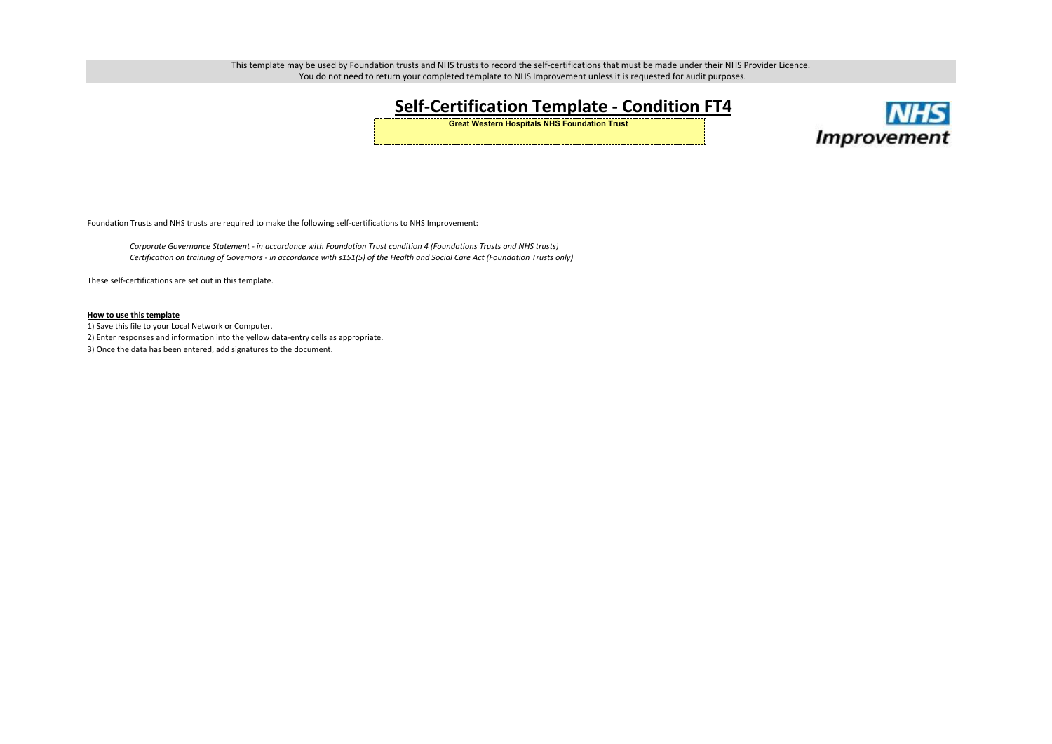# **Self-Certification Template - Condition FT4**

**Great Western Hospitals NHS Foundation Trust** 

Foundation Trusts and NHS trusts are required to make the following self-certifications to NHS Improvement:

- 1) Save this file to your Local Network or Computer.
- 2) Enter responses and information into the yellow data-entry cells as appropriate.
- 3) Once the data has been entered, add signatures to the document.



#### **How to use this template**

These self-certifications are set out in this template.

This template may be used by Foundation trusts and NHS trusts to record the self-certifications that must be made under their NHS Provider Licence. You do not need to return your completed template to NHS Improvement unless it is requested for audit purposes.

*Corporate Governance Statement - in accordance with Foundation Trust condition 4 (Foundations Trusts and NHS trusts)Certification on training of Governors - in accordance with s151(5) of the Health and Social Care Act (Foundation Trusts only)*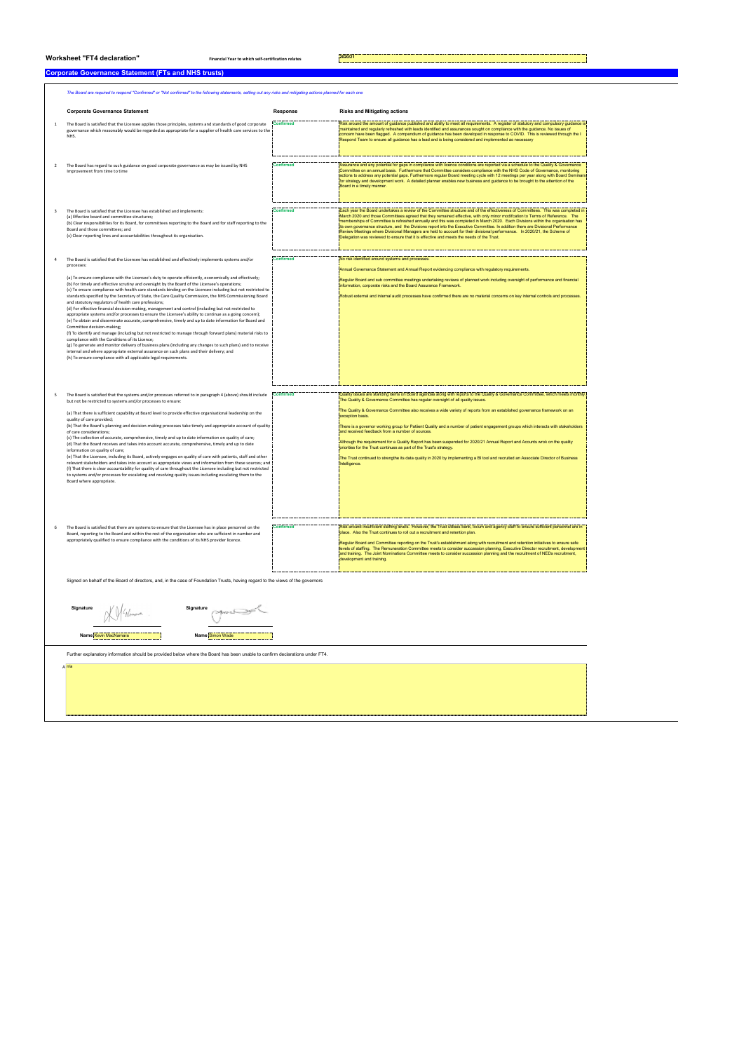### **Worksheet "FT4 declaration" Financial Year to which self-certification relates 2020/21**

#### **Corporate Governance Statement (FTs and NHS trusts)**

|   | The Board are required to respond "Confirmed" or "Not confirmed" to the following statements, setting out any risks and mitigating actions planned for each one                                                                                                                                                                                                                                                                                                                                                                                                                                                                                                                                                                                                                                                                                                                                                                                                                                                                                                                                                                                                                                            |                  |                                                                                                                                                                                                                                                                                                                                                                                                                                                                                                                                                                                                                                                                                                                                                                                        |  |  |
|---|------------------------------------------------------------------------------------------------------------------------------------------------------------------------------------------------------------------------------------------------------------------------------------------------------------------------------------------------------------------------------------------------------------------------------------------------------------------------------------------------------------------------------------------------------------------------------------------------------------------------------------------------------------------------------------------------------------------------------------------------------------------------------------------------------------------------------------------------------------------------------------------------------------------------------------------------------------------------------------------------------------------------------------------------------------------------------------------------------------------------------------------------------------------------------------------------------------|------------------|----------------------------------------------------------------------------------------------------------------------------------------------------------------------------------------------------------------------------------------------------------------------------------------------------------------------------------------------------------------------------------------------------------------------------------------------------------------------------------------------------------------------------------------------------------------------------------------------------------------------------------------------------------------------------------------------------------------------------------------------------------------------------------------|--|--|
|   | <b>Corporate Governance Statement</b>                                                                                                                                                                                                                                                                                                                                                                                                                                                                                                                                                                                                                                                                                                                                                                                                                                                                                                                                                                                                                                                                                                                                                                      | Response         | <b>Risks and Mitigating actions</b>                                                                                                                                                                                                                                                                                                                                                                                                                                                                                                                                                                                                                                                                                                                                                    |  |  |
| 1 | The Board is satisfied that the Licensee applies those principles, systems and standards of good corporate<br>governance which reasonably would be regarded as appropriate for a supplier of health care services to the<br>NHS.                                                                                                                                                                                                                                                                                                                                                                                                                                                                                                                                                                                                                                                                                                                                                                                                                                                                                                                                                                           | Confirmed        | Risk around the amount of guidance published and ability to meet all requirements. A register of statutory and compulsory guidance is<br>maintained and regularly refreshed with leads identified and assurances sought on compliance with the guidance. No issues of<br>concern have been flagged. A compendium of guidance has been developed in response to COVID. This is reviewed through the I<br>Respond Team to ensure all guidance has a lead and is being considered and implemented as necessary                                                                                                                                                                                                                                                                            |  |  |
|   | The Board has regard to such guidance on good corporate governance as may be issued by NHS<br>Improvement from time to time                                                                                                                                                                                                                                                                                                                                                                                                                                                                                                                                                                                                                                                                                                                                                                                                                                                                                                                                                                                                                                                                                | Confirmed        | Assurance and any potential for gaps in compliance with licence conditions are reported via a schedule to the Quality & Governance<br>Committee on an annual basis. Furthermore that Committee considers compliance with the NHS Code of Governance, monitoring<br>actions to address any potential gaps. Furthermore regular Board meeting cycle with 12 meetings per year along with Board Seminars.<br>for strategy and development work. A detailed planner enables new business and guidance to be brought to the attention of the<br>Board in a timely manner.                                                                                                                                                                                                                   |  |  |
| 3 | The Board is satisfied that the Licensee has established and implements:<br>(a) Effective board and committee structures;<br>(b) Clear responsibilities for its Board, for committees reporting to the Board and for staff reporting to the<br>Board and those committees; and<br>(c) Clear reporting lines and accountabilities throughout its organisation.                                                                                                                                                                                                                                                                                                                                                                                                                                                                                                                                                                                                                                                                                                                                                                                                                                              | <b>Confirmed</b> | Each year the Board undertakes a review of the Committee structure and of the effectiveness of Committees. This was completed in<br>March 2020 and those Committees agreed that they remained effective, with only minor modifcation to Terms of Reference. The<br>memberships of Committee is refreshed annually and this was completed in March 2020. Each Divisions within the organisation has<br>its own governance structure, and the Divisions report into the Executive Committee. In addition there are Divisional Performance<br>Review Meetings where Divisional Managers are held to account for their divisional performance. In 2020/21, the Scheme of<br>Delegation was reviewed to ensure that it is effective and meets the needs of the Trust.                       |  |  |
|   |                                                                                                                                                                                                                                                                                                                                                                                                                                                                                                                                                                                                                                                                                                                                                                                                                                                                                                                                                                                                                                                                                                                                                                                                            |                  |                                                                                                                                                                                                                                                                                                                                                                                                                                                                                                                                                                                                                                                                                                                                                                                        |  |  |
|   | The Board is satisfied that the Licensee has established and effectively implements systems and/or<br>processes:<br>(a) To ensure compliance with the Licensee's duty to operate efficiently, economically and effectively;                                                                                                                                                                                                                                                                                                                                                                                                                                                                                                                                                                                                                                                                                                                                                                                                                                                                                                                                                                                | <b>Confirmed</b> | No risk identified around systems and processes.<br>Annual Governance Statement and Annual Report evidencing compliance with regulatory requirements.                                                                                                                                                                                                                                                                                                                                                                                                                                                                                                                                                                                                                                  |  |  |
|   | (b) For timely and effective scrutiny and oversight by the Board of the Licensee's operations;<br>(c) To ensure compliance with health care standards binding on the Licensee including but not restricted to<br>standards specified by the Secretary of State, the Care Quality Commission, the NHS Commissioning Board<br>and statutory regulators of health care professions;<br>(d) For effective financial decision-making, management and control (including but not restricted to<br>appropriate systems and/or processes to ensure the Licensee's ability to continue as a going concern);<br>(e) To obtain and disseminate accurate, comprehensive, timely and up to date information for Board and<br>Committee decision-making;<br>(f) To identify and manage (including but not restricted to manage through forward plans) material risks to<br>compliance with the Conditions of its Licence;<br>(g) To generate and monitor delivery of business plans (including any changes to such plans) and to receive<br>internal and where appropriate external assurance on such plans and their delivery; and<br>(h) To ensure compliance with all applicable legal requirements.                  |                  | Regular Board and sub committee meetings undertaking reviews of planned work including oversight of performance and financial<br>information, corporate risks and the Board Assurance Framework.<br>Robust external and internal audit processes have confirmed there are no material concerns on key internal controls and processes.                                                                                                                                                                                                                                                                                                                                                                                                                                                 |  |  |
|   |                                                                                                                                                                                                                                                                                                                                                                                                                                                                                                                                                                                                                                                                                                                                                                                                                                                                                                                                                                                                                                                                                                                                                                                                            |                  | Quality issues are standing items on Board agendas along with reports to the Quality & Governance Committee, which meets monthly.                                                                                                                                                                                                                                                                                                                                                                                                                                                                                                                                                                                                                                                      |  |  |
| 5 | The Board is satisfied that the systems and/or processes referred to in paragraph 4 (above) should include<br>but not be restricted to systems and/or processes to ensure:<br>(a) That there is sufficient capability at Board level to provide effective organisational leadership on the<br>quality of care provided;<br>(b) That the Board's planning and decision-making processes take timely and appropriate account of quality<br>of care considerations;<br>(c) The collection of accurate, comprehensive, timely and up to date information on quality of care;<br>(d) That the Board receives and takes into account accurate, comprehensive, timely and up to date<br>information on quality of care;<br>(e) That the Licensee, including its Board, actively engages on quality of care with patients, staff and other<br>relevant stakeholders and takes into account as appropriate views and information from these sources; and<br>(f) That there is clear accountability for quality of care throughout the Licensee including but not restricted<br>to systems and/or processes for escalating and resolving quality issues including escalating them to the<br>Board where appropriate. | <b>Confirmed</b> | The Quality & Governance Committee has regular oversight of all quality issues.<br>The Quality & Governance Committee also receives a wide variety of reports from an established governance framework on an<br>exception basis.<br>There is a governor working group for Patiient Quality and a number of patient engagement groups which interacts with stakeholders<br>and received feedback from a number of sources.<br>Although the requirement for a Quality Report has been suspended for 2020/21 Annual Report and Acounts wrok on the quality<br>priorities for the Trust continues as part of the Trust's strategy.<br>The Trust continued to strengthe its data quality in 2020 by implementing a BI tool and recruited an Associate Director of Business<br>Intelligence. |  |  |
|   |                                                                                                                                                                                                                                                                                                                                                                                                                                                                                                                                                                                                                                                                                                                                                                                                                                                                                                                                                                                                                                                                                                                                                                                                            |                  |                                                                                                                                                                                                                                                                                                                                                                                                                                                                                                                                                                                                                                                                                                                                                                                        |  |  |
| 6 | The Board is satisfied that there are systems to ensure that the Licensee has in place personnel on the<br>Board, reporting to the Board and within the rest of the organisation who are sufficient in number and<br>appropriately qualified to ensure compliance with the conditions of its NHS provider licence.                                                                                                                                                                                                                                                                                                                                                                                                                                                                                                                                                                                                                                                                                                                                                                                                                                                                                         | <b>Confirmed</b> | Risk around insufficient staffing levels. However, the Trust utilises bank, locum and agency staff to ensure sufficient personnel are in<br>place. Also the Trust continues to roll out a recruitment and retention plan.<br>Reqular Board and Committee reporting on the Trust's establishment along with recruitment and retention initiatives to ensure safe<br>levels of staffing. The Remuneration Committee meets to consider succession planning, Executive Director recruitment, development<br>and training. The Joint Nominations Committee meets to consider succession planning and the recruitment of NEDs recruitment,<br>development and training.                                                                                                                      |  |  |

Signed on behalf of the Board of directors, and, in the case of Foundation Trusts, having regard to the views of the governors

 $A \overline{N}$ 



<u>..............................</u>

Further explanatory information should be provided below where the Board has been unable to confirm declarations under FT4.